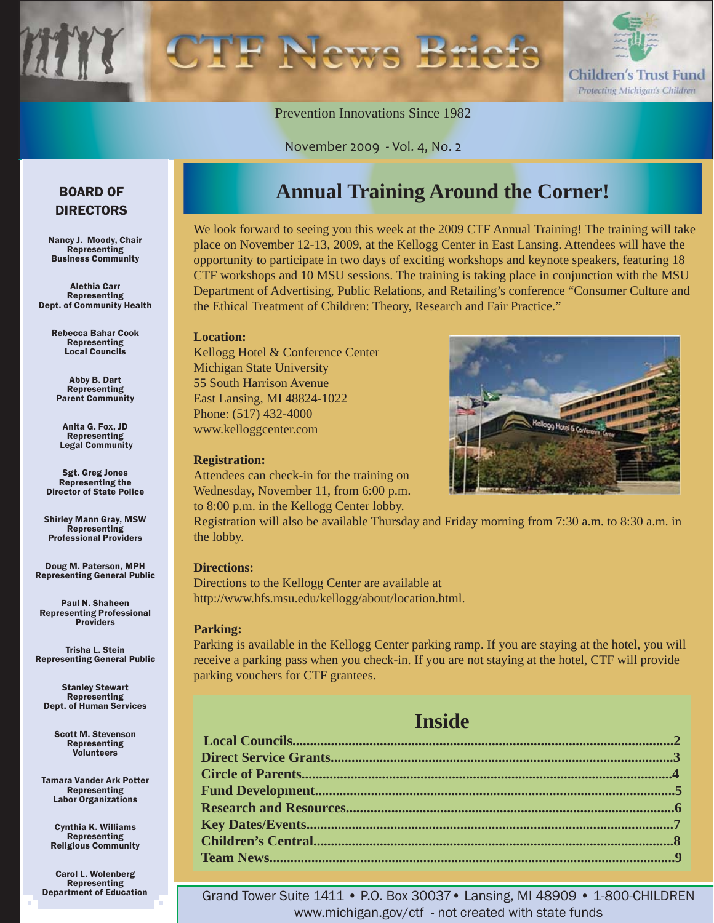

Prevention Innovations Since 1982

November 2009 - Vol. 4, No. 2

#### BOARD OF DIRECTORS

Nancy J. Moody, Chair Representing Business Community

Alethia Carr Representing Dept. of Community Health

> Rebecca Bahar Cook Representing Local Councils

Abby B. Dart Representing Parent Community

Anita G. Fox, JD Representing Legal Community

Sgt. Greg Jones Representing the Director of State Police

Shirley Mann Gray, MSW Representing Professional Providers

Doug M. Paterson, MPH Representing General Public

Paul N. Shaheen Representing Professional Providers

Trisha L. Stein Representing General Public

Stanley Stewart Representing Dept. of Human Services

> Scott M. Stevenson Representing Volunteers

Tamara Vander Ark Potter Representing Labor Organizations

Cynthia K. Williams Representing Religious Community

Carol L. Wolenberg Representing Department of Education

# **Annual Training Around the Corner!**

We look forward to seeing you this week at the 2009 CTF Annual Training! The training will take place on November 12-13, 2009, at the Kellogg Center in East Lansing. Attendees will have the opportunity to participate in two days of exciting workshops and keynote speakers, featuring 18 CTF workshops and 10 MSU sessions. The training is taking place in conjunction with the MSU Department of Advertising, Public Relations, and Retailing's conference "Consumer Culture and the Ethical Treatment of Children: Theory, Research and Fair Practice."

#### **Location:**

Kellogg Hotel & Conference Center Michigan State University 55 South Harrison Avenue East Lansing, MI 48824-1022 Phone: (517) 432-4000 www.kelloggcenter.com

#### **Registration:**

Attendees can check-in for the training on Wednesday, November 11, from 6:00 p.m. to 8:00 p.m. in the Kellogg Center lobby.



Registration will also be available Thursday and Friday morning from 7:30 a.m. to 8:30 a.m. in the lobby.

#### **Directions:**

Directions to the Kellogg Center are available at http://www.hfs.msu.edu/kellogg/about/location.html.

#### **Parking:**

Parking is available in the Kellogg Center parking ramp. If you are staying at the hotel, you will receive a parking pass when you check-in. If you are not staying at the hotel, CTF will provide parking vouchers for CTF grantees.

### **Inside**

Grand Tower Suite 1411 • P.O. Box 30037• Lansing, MI 48909 • 1-800-CHILDREN www.michigan.gov/ctf - not created with state funds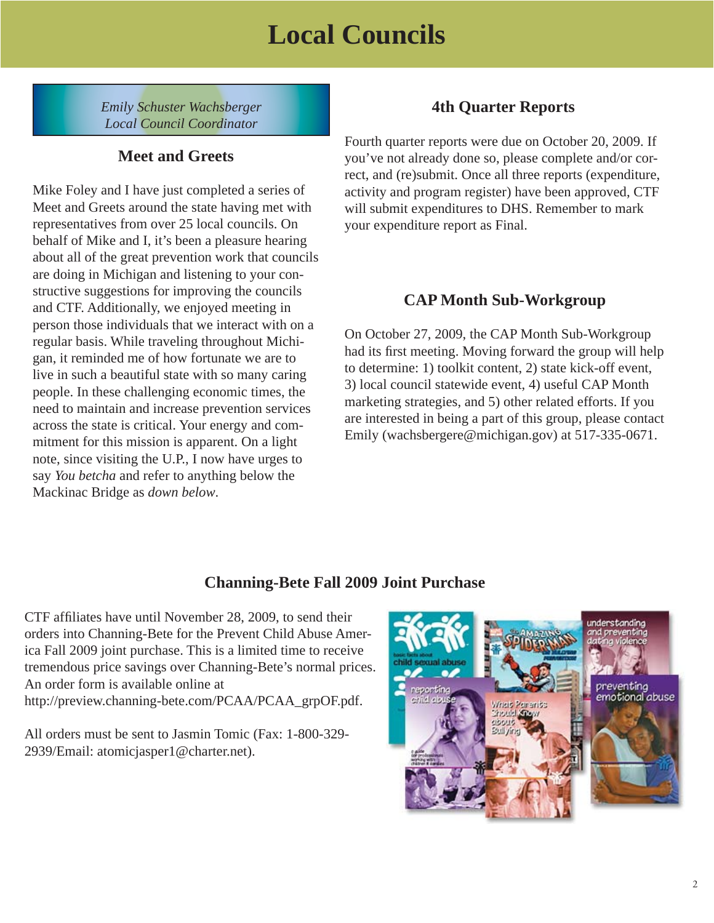# **Local Councils**

<span id="page-1-0"></span>*Emily Schuster Wachsberger Local Council Coordinator*

#### **Meet and Greets**

Mike Foley and I have just completed a series of Meet and Greets around the state having met with representatives from over 25 local councils. On behalf of Mike and I, it's been a pleasure hearing about all of the great prevention work that councils are doing in Michigan and listening to your constructive suggestions for improving the councils and CTF. Additionally, we enjoyed meeting in person those individuals that we interact with on a regular basis. While traveling throughout Michigan, it reminded me of how fortunate we are to live in such a beautiful state with so many caring people. In these challenging economic times, the need to maintain and increase prevention services across the state is critical. Your energy and commitment for this mission is apparent. On a light note, since visiting the U.P., I now have urges to say *You betcha* and refer to anything below the Mackinac Bridge as *down below*.

### **4th Quarter Reports**

Fourth quarter reports were due on October 20, 2009. If you've not already done so, please complete and/or correct, and (re)submit. Once all three reports (expenditure, activity and program register) have been approved, CTF will submit expenditures to DHS. Remember to mark your expenditure report as Final.

#### **CAP Month Sub-Workgroup**

On October 27, 2009, the CAP Month Sub-Workgroup had its first meeting. Moving forward the group will help to determine: 1) toolkit content, 2) state kick-off event, 3) local council statewide event, 4) useful CAP Month marketing strategies, and 5) other related efforts. If you are interested in being a part of this group, please contact Emily (wachsbergere@michigan.gov) at 517-335-0671.

### **Channing-Bete Fall 2009 Joint Purchase**

CTF affiliates have until November 28, 2009, to send their orders into Channing-Bete for the Prevent Child Abuse America Fall 2009 joint purchase. This is a limited time to receive tremendous price savings over Channing-Bete's normal prices. An order form is available online at http://preview.channing-bete.com/PCAA/PCAA\_grpOF.pdf.

All orders must be sent to Jasmin Tomic (Fax: 1-800-329- 2939/Email: atomicjasper1@charter.net).

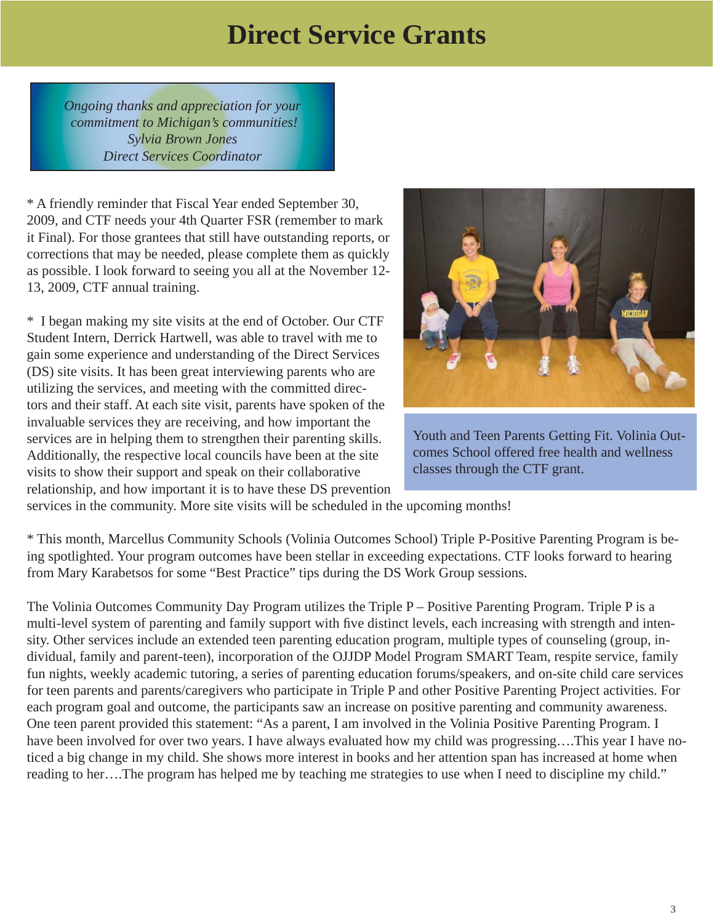# **Direct Service Grants**

<span id="page-2-0"></span>*Ongoing thanks and appreciation for your commitment to Michigan's communities! Sylvia Brown Jones Direct Services Coordinator*

\* A friendly reminder that Fiscal Year ended September 30, 2009, and CTF needs your 4th Quarter FSR (remember to mark it Final). For those grantees that still have outstanding reports, or corrections that may be needed, please complete them as quickly as possible. I look forward to seeing you all at the November 12- 13, 2009, CTF annual training.

\* I began making my site visits at the end of October. Our CTF Student Intern, Derrick Hartwell, was able to travel with me to gain some experience and understanding of the Direct Services (DS) site visits. It has been great interviewing parents who are utilizing the services, and meeting with the committed directors and their staff. At each site visit, parents have spoken of the invaluable services they are receiving, and how important the services are in helping them to strengthen their parenting skills. Additionally, the respective local councils have been at the site visits to show their support and speak on their collaborative relationship, and how important it is to have these DS prevention



Youth and Teen Parents Getting Fit. Volinia Outcomes School offered free health and wellness classes through the CTF grant.

services in the community. More site visits will be scheduled in the upcoming months!

\* This month, Marcellus Community Schools (Volinia Outcomes School) Triple P-Positive Parenting Program is being spotlighted. Your program outcomes have been stellar in exceeding expectations. CTF looks forward to hearing from Mary Karabetsos for some "Best Practice" tips during the DS Work Group sessions.

The Volinia Outcomes Community Day Program utilizes the Triple P – Positive Parenting Program. Triple P is a multi-level system of parenting and family support with five distinct levels, each increasing with strength and intensity. Other services include an extended teen parenting education program, multiple types of counseling (group, individual, family and parent-teen), incorporation of the OJJDP Model Program SMART Team, respite service, family fun nights, weekly academic tutoring, a series of parenting education forums/speakers, and on-site child care services for teen parents and parents/caregivers who participate in Triple P and other Positive Parenting Project activities. For each program goal and outcome, the participants saw an increase on positive parenting and community awareness. One teen parent provided this statement: "As a parent, I am involved in the Volinia Positive Parenting Program. I have been involved for over two years. I have always evaluated how my child was progressing....This year I have noticed a big change in my child. She shows more interest in books and her attention span has increased at home when reading to her….The program has helped me by teaching me strategies to use when I need to discipline my child."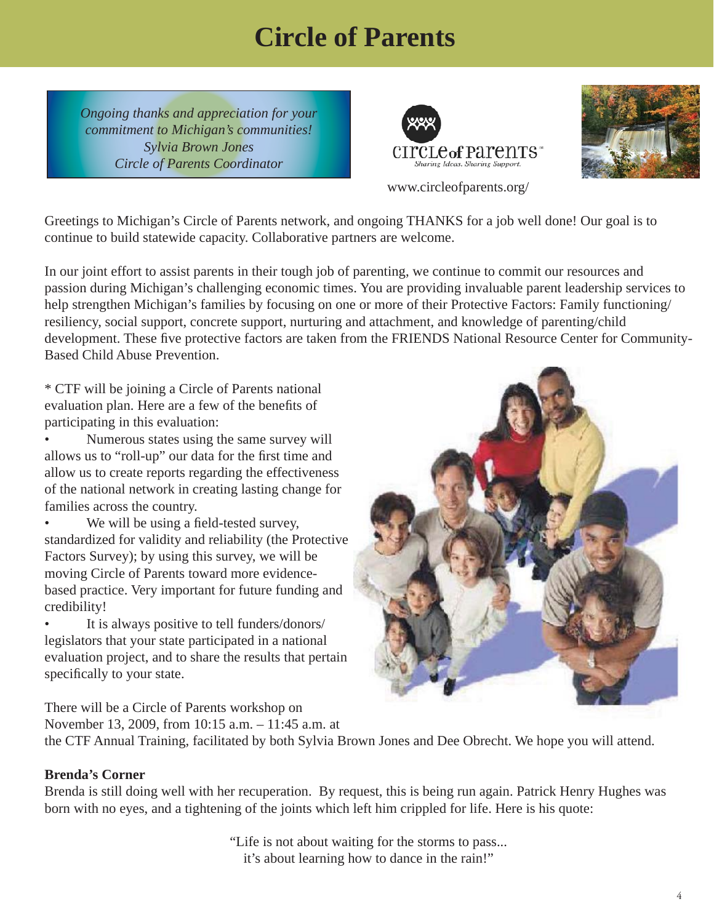# **Circle of Parents**

<span id="page-3-0"></span>*Ongoing thanks and appreciation for your commitment to Michigan's communities! Sylvia Brown Jones Circle of Parents Coordinator*





www.circleofparents.org/

Greetings to Michigan's Circle of Parents network, and ongoing THANKS for a job well done! Our goal is to continue to build statewide capacity. Collaborative partners are welcome.

In our joint effort to assist parents in their tough job of parenting, we continue to commit our resources and passion during Michigan's challenging economic times. You are providing invaluable parent leadership services to help strengthen Michigan's families by focusing on one or more of their Protective Factors: Family functioning/ resiliency, social support, concrete support, nurturing and attachment, and knowledge of parenting/child development. These five protective factors are taken from the FRIENDS National Resource Center for Community-Based Child Abuse Prevention.

\* CTF will be joining a Circle of Parents national evaluation plan. Here are a few of the benefits of participating in this evaluation:

• Numerous states using the same survey will allows us to "roll-up" our data for the first time and allow us to create reports regarding the effectiveness of the national network in creating lasting change for families across the country.

We will be using a field-tested survey, standardized for validity and reliability (the Protective Factors Survey); by using this survey, we will be moving Circle of Parents toward more evidencebased practice. Very important for future funding and credibility!

It is always positive to tell funders/donors/ legislators that your state participated in a national evaluation project, and to share the results that pertain specifically to your state.

There will be a Circle of Parents workshop on

November 13, 2009, from 10:15 a.m. – 11:45 a.m. at the CTF Annual Training, facilitated by both Sylvia Brown Jones and Dee Obrecht. We hope you will attend.

#### **Brenda's Corner**

Brenda is still doing well with her recuperation. By request, this is being run again. Patrick Henry Hughes was born with no eyes, and a tightening of the joints which left him crippled for life. Here is his quote:

> "Life is not about waiting for the storms to pass... it's about learning how to dance in the rain!"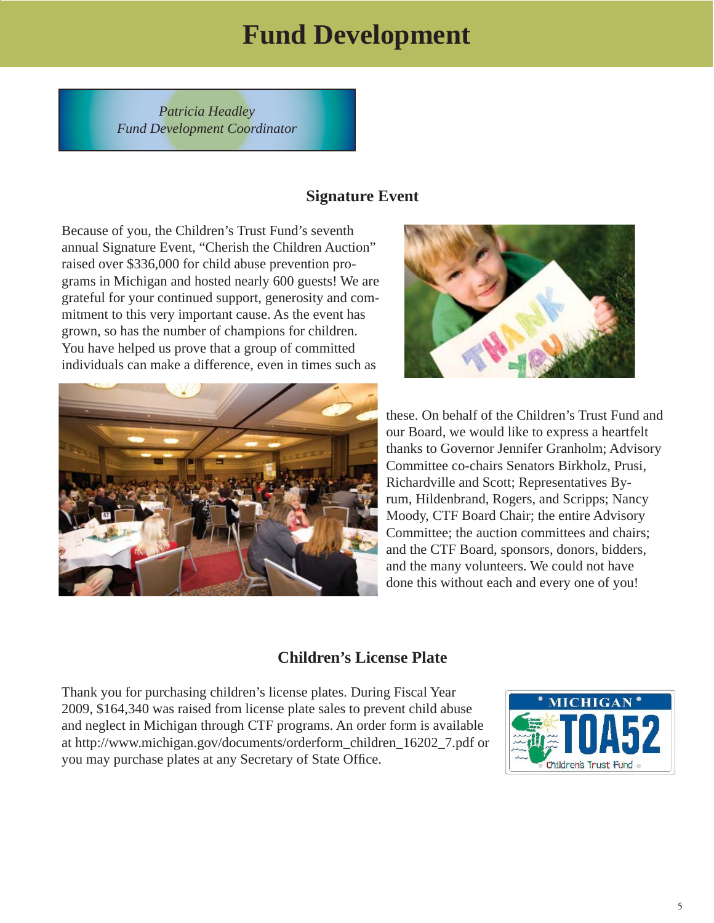# **Fund Development**

<span id="page-4-0"></span>*Patricia Headley Fund Development Coordinator*

#### **Signature Event**

Because of you, the Children's Trust Fund's seventh annual Signature Event, "Cherish the Children Auction" raised over \$336,000 for child abuse prevention programs in Michigan and hosted nearly 600 guests! We are grateful for your continued support, generosity and commitment to this very important cause. As the event has grown, so has the number of champions for children. You have helped us prove that a group of committed individuals can make a difference, even in times such as





these. On behalf of the Children's Trust Fund and our Board, we would like to express a heartfelt thanks to Governor Jennifer Granholm; Advisory Committee co-chairs Senators Birkholz, Prusi, Richardville and Scott; Representatives Byrum, Hildenbrand, Rogers, and Scripps; Nancy Moody, CTF Board Chair; the entire Advisory Committee; the auction committees and chairs; and the CTF Board, sponsors, donors, bidders, and the many volunteers. We could not have done this without each and every one of you!

#### **Children's License Plate**

Thank you for purchasing children's license plates. During Fiscal Year 2009, \$164,340 was raised from license plate sales to prevent child abuse and neglect in Michigan through CTF programs. An order form is available at http://www.michigan.gov/documents/orderform\_children\_16202\_7.pdf or you may purchase plates at any Secretary of State Office.

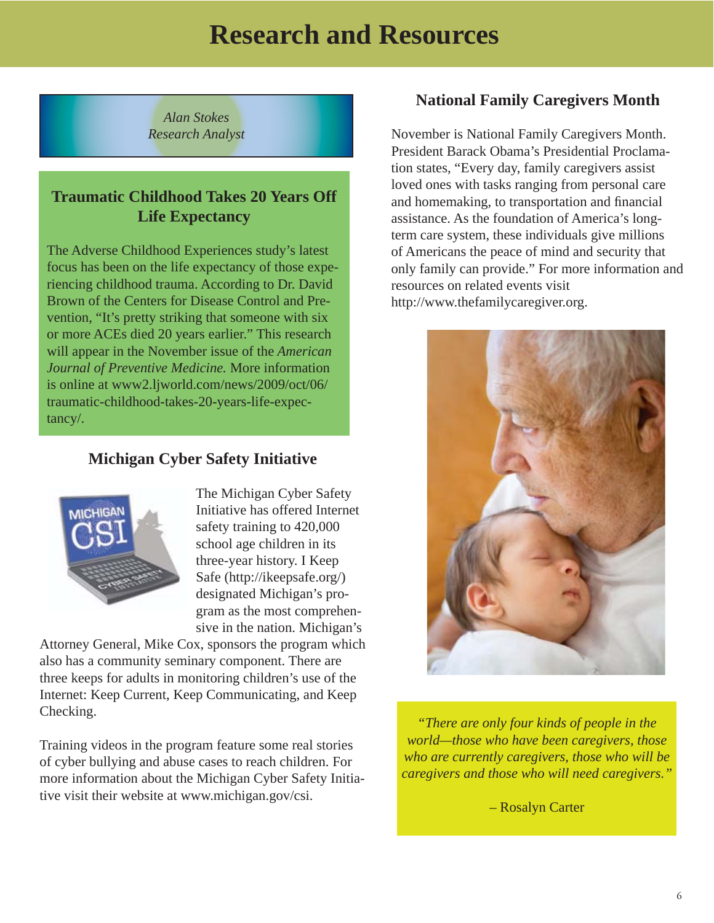# **Research and Resources**

<span id="page-5-0"></span>*Alan Stokes Research Analyst*

#### **Traumatic Childhood Takes 20 Years Off Life Expectancy**

The Adverse Childhood Experiences study's latest focus has been on the life expectancy of those experiencing childhood trauma. According to Dr. David Brown of the Centers for Disease Control and Prevention, "It's pretty striking that someone with six or more ACEs died 20 years earlier." This research will appear in the November issue of the *American Journal of Preventive Medicine.* More information is online at www2.ljworld.com/news/2009/oct/06/ traumatic-childhood-takes-20-years-life-expectancy/.

#### **Michigan Cyber Safety Initiative**



The Michigan Cyber Safety Initiative has offered Internet safety training to 420,000 school age children in its three-year history. I Keep Safe (http://ikeepsafe.org/) designated Michigan's program as the most comprehensive in the nation. Michigan's

Attorney General, Mike Cox, sponsors the program which also has a community seminary component. There are three keeps for adults in monitoring children's use of the Internet: Keep Current, Keep Communicating, and Keep Checking.

Training videos in the program feature some real stories of cyber bullying and abuse cases to reach children. For more information about the Michigan Cyber Safety Initiative visit their website at www.michigan.gov/csi.

#### **National Family Caregivers Month**

November is National Family Caregivers Month. President Barack Obama's Presidential Proclamation states, "Every day, family caregivers assist loved ones with tasks ranging from personal care and homemaking, to transportation and financial assistance. As the foundation of America's longterm care system, these individuals give millions of Americans the peace of mind and security that only family can provide." For more information and resources on related events visit http://www.thefamilycaregiver.org.



*"There are only four kinds of people in the world—those who have been caregivers, those who are currently caregivers, those who will be caregivers and those who will need caregivers."*

– Rosalyn Carter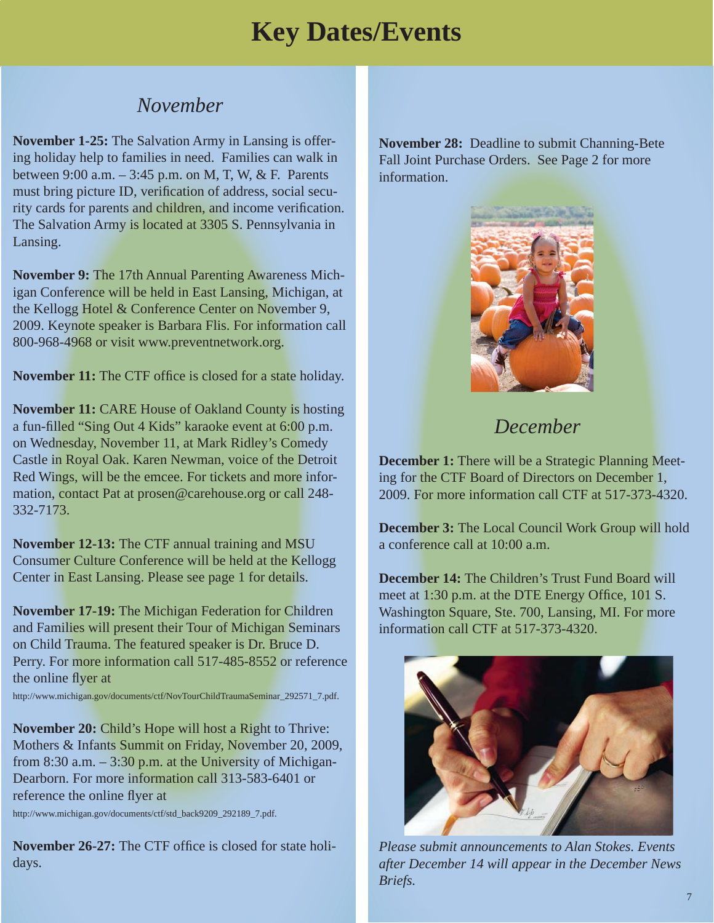### *November*

<span id="page-6-0"></span>**November 1-25:** The Salvation Army in Lansing is offering holiday help to families in need. Families can walk in between 9:00 a.m. – 3:45 p.m. on M, T, W, & F. Parents must bring picture ID, verification of address, social security cards for parents and children, and income verification. The Salvation Army is located at 3305 S. Pennsylvania in Lansing.

**November 9:** The 17th Annual Parenting Awareness Michigan Conference will be held in East Lansing, Michigan, at the Kellogg Hotel & Conference Center on November 9, 2009. Keynote speaker is Barbara Flis. For information call 800-968-4968 or visit www.preventnetwork.org.

**November 11:** The CTF office is closed for a state holiday.

**November 11:** CARE House of Oakland County is hosting a fun-filled "Sing Out 4 Kids" karaoke event at 6:00 p.m. on Wednesday, November 11, at Mark Ridley's Comedy Castle in Royal Oak. Karen Newman, voice of the Detroit Red Wings, will be the emcee. For tickets and more information, contact Pat at prosen@carehouse.org or call 248- 332-7173.

**November 12-13:** The CTF annual training and MSU Consumer Culture Conference will be held at the Kellogg Center in East Lansing. Please see page 1 for details.

**November 17-19:** The Michigan Federation for Children and Families will present their Tour of Michigan Seminars on Child Trauma. The featured speaker is Dr. Bruce D. Perry. For more information call 517-485-8552 or reference the online flyer at

http://www.michigan.gov/documents/ctf/NovTourChildTraumaSeminar\_292571\_7.pdf.

**November 20:** Child's Hope will host a Right to Thrive: Mothers & Infants Summit on Friday, November 20, 2009, from 8:30 a.m.  $-3:30$  p.m. at the University of Michigan-Dearborn. For more information call 313-583-6401 or reference the online flyer at

http://www.michigan.gov/documents/ctf/std\_back9209\_292189\_7.pdf.

**November 26-27:** The CTF office is closed for state holidays.

**November 28:** Deadline to submit Channing-Bete Fall Joint Purchase Orders. See Page 2 for more information.



### *December*

**December 1:** There will be a Strategic Planning Meeting for the CTF Board of Directors on December 1, 2009. For more information call CTF at 517-373-4320.

**December 3:** The Local Council Work Group will hold a conference call at 10:00 a.m.

**December 14:** The Children's Trust Fund Board will meet at 1:30 p.m. at the DTE Energy Office, 101 S. Washington Square, Ste. 700, Lansing, MI. For more information call CTF at 517-373-4320.



*Please submit announcements to Alan Stokes. Events after December 14 will appear in the December News Briefs.*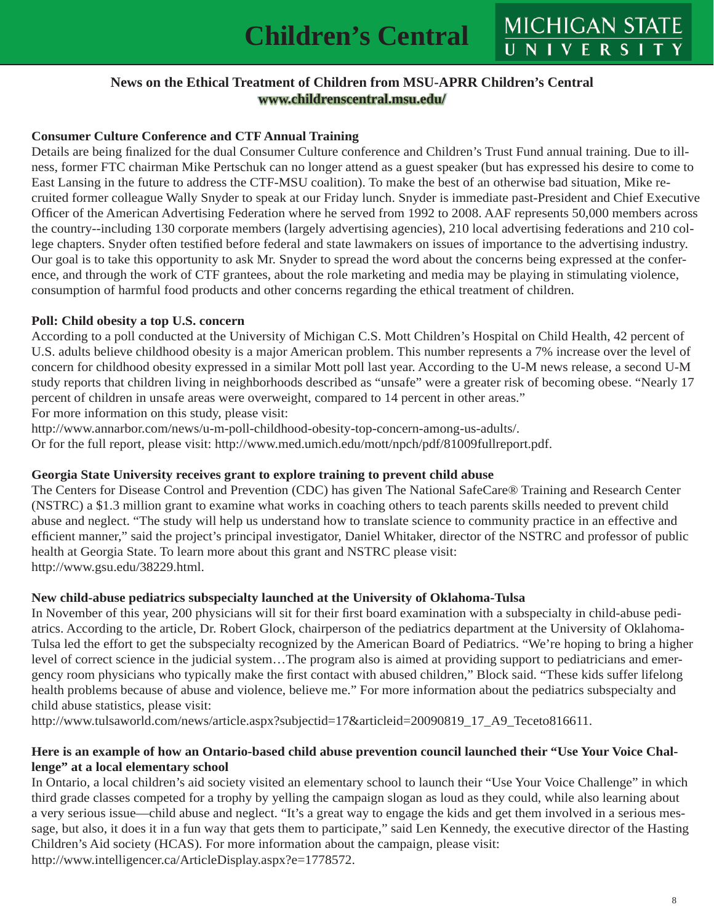MICHIGAN STATE

#### **News on the Ethical Treatment of Children from MSU-APRR Children's Central www.childrenscentral.msu.edu/**

#### <span id="page-7-0"></span>**Consumer Culture Conference and CTF Annual Training**

Details are being finalized for the dual Consumer Culture conference and Children's Trust Fund annual training. Due to illness, former FTC chairman Mike Pertschuk can no longer attend as a guest speaker (but has expressed his desire to come to East Lansing in the future to address the CTF-MSU coalition). To make the best of an otherwise bad situation, Mike recruited former colleague Wally Snyder to speak at our Friday lunch. Snyder is immediate past-President and Chief Executive Officer of the American Advertising Federation where he served from 1992 to 2008. AAF represents 50,000 members across the country--including 130 corporate members (largely advertising agencies), 210 local advertising federations and 210 college chapters. Snyder often testified before federal and state lawmakers on issues of importance to the advertising industry. Our goal is to take this opportunity to ask Mr. Snyder to spread the word about the concerns being expressed at the conference, and through the work of CTF grantees, about the role marketing and media may be playing in stimulating violence, consumption of harmful food products and other concerns regarding the ethical treatment of children.

#### **Poll: Child obesity a top U.S. concern**

According to a poll conducted at the University of Michigan C.S. Mott Children's Hospital on Child Health, 42 percent of U.S. adults believe childhood obesity is a major American problem. This number represents a 7% increase over the level of concern for childhood obesity expressed in a similar Mott poll last year. According to the U-M news release, a second U-M study reports that children living in neighborhoods described as "unsafe" were a greater risk of becoming obese. "Nearly 17 percent of children in unsafe areas were overweight, compared to 14 percent in other areas." For more information on this study, please visit:

http://www.annarbor.com/news/u-m-poll-childhood-obesity-top-concern-among-us-adults/.

Or for the full report, please visit: http://www.med.umich.edu/mott/npch/pdf/81009fullreport.pdf.

#### **Georgia State University receives grant to explore training to prevent child abuse**

The Centers for Disease Control and Prevention (CDC) has given The National SafeCare® Training and Research Center (NSTRC) a \$1.3 million grant to examine what works in coaching others to teach parents skills needed to prevent child abuse and neglect. "The study will help us understand how to translate science to community practice in an effective and efficient manner," said the project's principal investigator, Daniel Whitaker, director of the NSTRC and professor of public health at Georgia State. To learn more about this grant and NSTRC please visit: http://www.gsu.edu/38229.html.

#### **New child-abuse pediatrics subspecialty launched at the University of Oklahoma-Tulsa**

In November of this year, 200 physicians will sit for their first board examination with a subspecialty in child-abuse pediatrics. According to the article, Dr. Robert Glock, chairperson of the pediatrics department at the University of Oklahoma-Tulsa led the effort to get the subspecialty recognized by the American Board of Pediatrics. "We're hoping to bring a higher level of correct science in the judicial system…The program also is aimed at providing support to pediatricians and emergency room physicians who typically make the first contact with abused children," Block said. "These kids suffer lifelong health problems because of abuse and violence, believe me." For more information about the pediatrics subspecialty and child abuse statistics, please visit:

http://www.tulsaworld.com/news/article.aspx?subjectid=17&articleid=20090819\_17\_A9\_Teceto816611.

#### **Here is an example of how an Ontario-based child abuse prevention council launched their "Use Your Voice Challenge" at a local elementary school**

In Ontario, a local children's aid society visited an elementary school to launch their "Use Your Voice Challenge" in which third grade classes competed for a trophy by yelling the campaign slogan as loud as they could, while also learning about a very serious issue—child abuse and neglect. "It's a great way to engage the kids and get them involved in a serious message, but also, it does it in a fun way that gets them to participate," said Len Kennedy, the executive director of the Hasting Children's Aid society (HCAS). For more information about the campaign, please visit:

http://www.intelligencer.ca/ArticleDisplay.aspx?e=1778572.